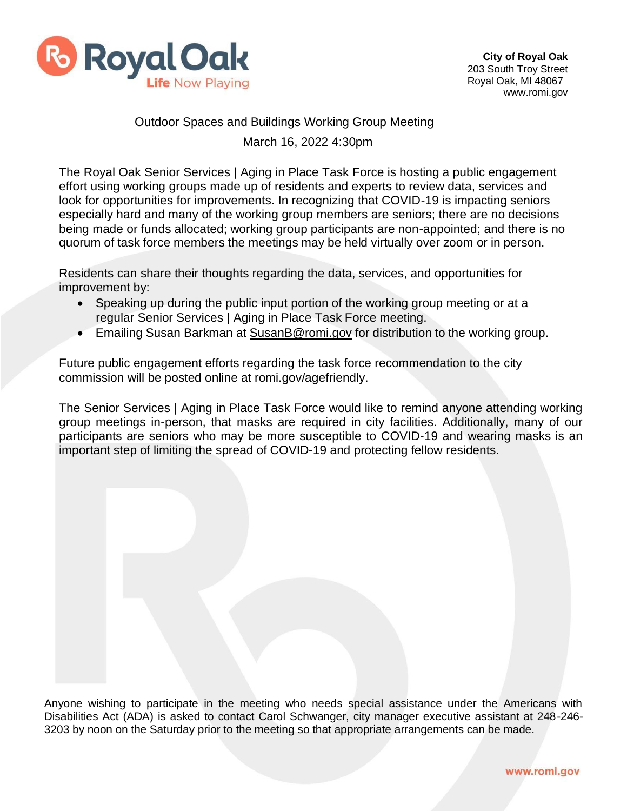

## Outdoor Spaces and Buildings Working Group Meeting March 16, 2022 4:30pm

The Royal Oak Senior Services | Aging in Place Task Force is hosting a public engagement effort using working groups made up of residents and experts to review data, services and look for opportunities for improvements. In recognizing that COVID-19 is impacting seniors especially hard and many of the working group members are seniors; there are no decisions being made or funds allocated; working group participants are non-appointed; and there is no quorum of task force members the meetings may be held virtually over zoom or in person.

Residents can share their thoughts regarding the data, services, and opportunities for improvement by:

- Speaking up during the public input portion of the working group meeting or at a regular Senior Services | Aging in Place Task Force meeting.
- Emailing Susan Barkman at [SusanB@romi.gov](mailto:SusanB@romi.gov) for distribution to the working group.

Future public engagement efforts regarding the task force recommendation to the city commission will be posted online at romi.gov/agefriendly.

The Senior Services | Aging in Place Task Force would like to remind anyone attending working group meetings in-person, that masks are required in city facilities. Additionally, many of our participants are seniors who may be more susceptible to COVID-19 and wearing masks is an important step of limiting the spread of COVID-19 and protecting fellow residents.

Anyone wishing to participate in the meeting who needs special assistance under the Americans with Disabilities Act (ADA) is asked to contact Carol Schwanger, city manager executive assistant at 248-246- 3203 by noon on the Saturday prior to the meeting so that appropriate arrangements can be made.